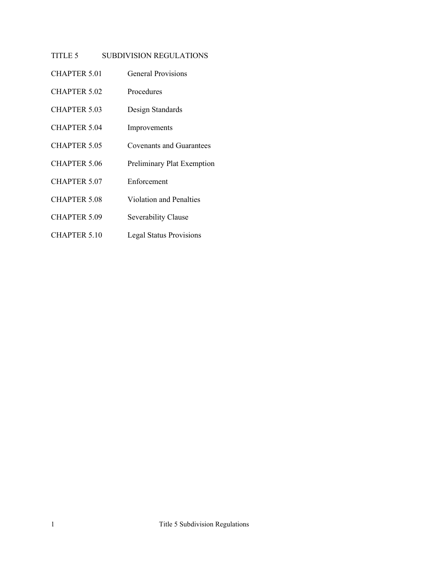# TITLE 5 SUBDIVISION REGULATIONS

- CHAPTER 5.01 [General Provisions](#page-1-0)
- [CHAPTER 5.02](#page-3-0) Procedures
- CHAPTER 5.03 [Design Standards](#page-6-0)
- [CHAPTER 5.04](#page-12-0) Improvements
- CHAPTER 5.05 [Covenants and Guarantees](#page-13-0)
- CHAPTER 5.06 [Preliminary Plat Exemption](#page-14-0)
- [CHAPTER 5.07](#page-15-0) Enforcement
- CHAPTER 5.08 [Violation and Penalties](#page-16-0)
- CHAPTER 5.09 [Severability Clause](#page-17-0)
- CHAPTER 5.10 [Legal Status Provisions](#page-18-0)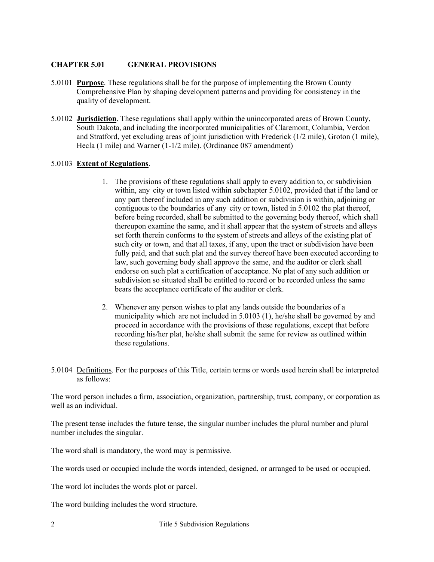## <span id="page-1-0"></span>**CHAPTER 5.01 GENERAL PROVISIONS**

- 5.0101 **Purpose**. These regulations shall be for the purpose of implementing the Brown County Comprehensive Plan by shaping development patterns and providing for consistency in the quality of development.
- 5.0102 **Jurisdiction**. These regulations shall apply within the unincorporated areas of Brown County, South Dakota, and including the incorporated municipalities of Claremont, Columbia, Verdon and Stratford, yet excluding areas of joint jurisdiction with Frederick (1/2 mile), Groton (1 mile), Hecla (1 mile) and Warner (1-1/2 mile). (Ordinance 087 amendment)

## 5.0103 **Extent of Regulations**.

- 1. The provisions of these regulations shall apply to every addition to, or subdivision within, any city or town listed within subchapter 5.0102, provided that if the land or any part thereof included in any such addition or subdivision is within, adjoining or contiguous to the boundaries of any city or town, listed in 5.0102 the plat thereof, before being recorded, shall be submitted to the governing body thereof, which shall thereupon examine the same, and it shall appear that the system of streets and alleys set forth therein conforms to the system of streets and alleys of the existing plat of such city or town, and that all taxes, if any, upon the tract or subdivision have been fully paid, and that such plat and the survey thereof have been executed according to law, such governing body shall approve the same, and the auditor or clerk shall endorse on such plat a certification of acceptance. No plat of any such addition or subdivision so situated shall be entitled to record or be recorded unless the same bears the acceptance certificate of the auditor or clerk.
- 2. Whenever any person wishes to plat any lands outside the boundaries of a municipality which are not included in 5.0103 (1), he/she shall be governed by and proceed in accordance with the provisions of these regulations, except that before recording his/her plat, he/she shall submit the same for review as outlined within these regulations.
- 5.0104 Definitions. For the purposes of this Title, certain terms or words used herein shall be interpreted as follows:

The word person includes a firm, association, organization, partnership, trust, company, or corporation as well as an individual.

The present tense includes the future tense, the singular number includes the plural number and plural number includes the singular.

The word shall is mandatory, the word may is permissive.

The words used or occupied include the words intended, designed, or arranged to be used or occupied.

The word lot includes the words plot or parcel.

The word building includes the word structure.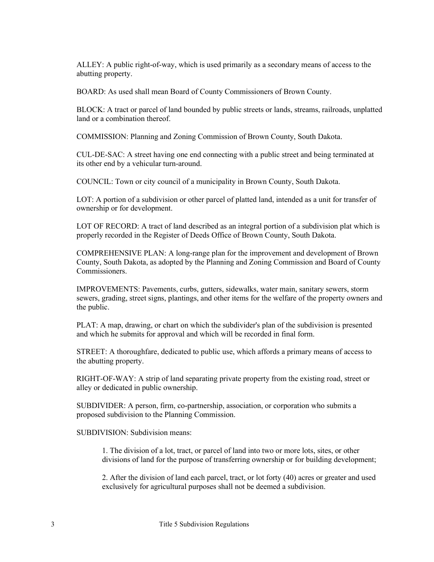ALLEY: A public right-of-way, which is used primarily as a secondary means of access to the abutting property.

BOARD: As used shall mean Board of County Commissioners of Brown County.

BLOCK: A tract or parcel of land bounded by public streets or lands, streams, railroads, unplatted land or a combination thereof.

COMMISSION: Planning and Zoning Commission of Brown County, South Dakota.

CUL-DE-SAC: A street having one end connecting with a public street and being terminated at its other end by a vehicular turn-around.

COUNCIL: Town or city council of a municipality in Brown County, South Dakota.

LOT: A portion of a subdivision or other parcel of platted land, intended as a unit for transfer of ownership or for development.

LOT OF RECORD: A tract of land described as an integral portion of a subdivision plat which is properly recorded in the Register of Deeds Office of Brown County, South Dakota.

COMPREHENSIVE PLAN: A long-range plan for the improvement and development of Brown County, South Dakota, as adopted by the Planning and Zoning Commission and Board of County Commissioners.

IMPROVEMENTS: Pavements, curbs, gutters, sidewalks, water main, sanitary sewers, storm sewers, grading, street signs, plantings, and other items for the welfare of the property owners and the public.

PLAT: A map, drawing, or chart on which the subdivider's plan of the subdivision is presented and which he submits for approval and which will be recorded in final form.

STREET: A thoroughfare, dedicated to public use, which affords a primary means of access to the abutting property.

RIGHT-OF-WAY: A strip of land separating private property from the existing road, street or alley or dedicated in public ownership.

SUBDIVIDER: A person, firm, co-partnership, association, or corporation who submits a proposed subdivision to the Planning Commission.

SUBDIVISION: Subdivision means:

1. The division of a lot, tract, or parcel of land into two or more lots, sites, or other divisions of land for the purpose of transferring ownership or for building development;

2. After the division of land each parcel, tract, or lot forty (40) acres or greater and used exclusively for agricultural purposes shall not be deemed a subdivision.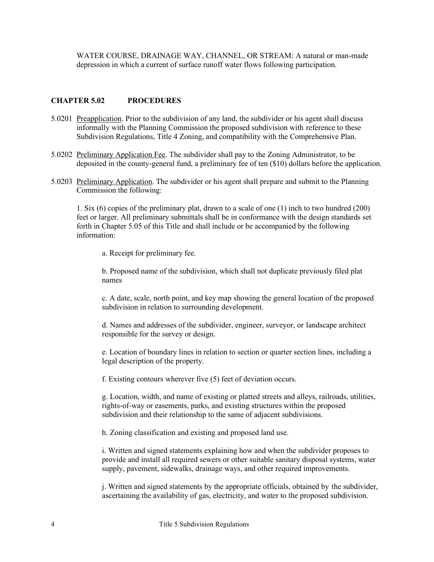WATER COURSE, DRAINAGE WAY, CHANNEL, OR STREAM: A natural or man-made depression in which a current of surface runoff water flows following participation.

#### <span id="page-3-0"></span>**CHAPTER 5.02 PROCEDURES**

- 5.0201 Preapplication. Prior to the subdivision of any land, the subdivider or his agent shall discuss informally with the Planning Commission the proposed subdivision with reference to these Subdivision Regulations, Title 4 Zoning, and compatibility with the Comprehensive Plan.
- 5.0202 Preliminary Application Fee. The subdivider shall pay to the Zoning Administrator, to be deposited in the county-general fund, a preliminary fee of ten (\$10) dollars before the application.
- 5.0203 Preliminary Application. The subdivider or his agent shall prepare and submit to the Planning Commission the following:

1. Six (6) copies of the preliminary plat, drawn to a scale of one (1) inch to two hundred (200) feet or larger. All preliminary submittals shall be in conformance with the design standards set forth in Chapter 5.05 of this Title and shall include or be accompanied by the following information:

a. Receipt for preliminary fee.

b. Proposed name of the subdivision, which shall not duplicate previously filed plat names

c. A date, scale, north point, and key map showing the general location of the proposed subdivision in relation to surrounding development.

d. Names and addresses of the subdivider, engineer, surveyor, or landscape architect responsible for the survey or design.

e. Location of boundary lines in relation to section or quarter section lines, including a legal description of the property.

f. Existing contours wherever five (5) feet of deviation occurs.

g. Location, width, and name of existing or platted streets and alleys, railroads, utilities, rights-of-way or easements, parks, and existing structures within the proposed subdivision and their relationship to the same of adjacent subdivisions.

h. Zoning classification and existing and proposed land use.

i. Written and signed statements explaining how and when the subdivider proposes to provide and install all required sewers or other suitable sanitary disposal systems, water supply, pavement, sidewalks, drainage ways, and other required improvements.

j. Written and signed statements by the appropriate officials, obtained by the subdivider, ascertaining the availability of gas, electricity, and water to the proposed subdivision.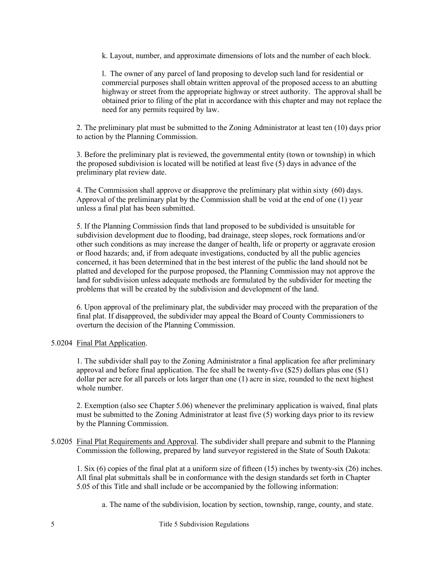k. Layout, number, and approximate dimensions of lots and the number of each block.

l. The owner of any parcel of land proposing to develop such land for residential or commercial purposes shall obtain written approval of the proposed access to an abutting highway or street from the appropriate highway or street authority. The approval shall be obtained prior to filing of the plat in accordance with this chapter and may not replace the need for any permits required by law.

2. The preliminary plat must be submitted to the Zoning Administrator at least ten (10) days prior to action by the Planning Commission.

3. Before the preliminary plat is reviewed, the governmental entity (town or township) in which the proposed subdivision is located will be notified at least five (5) days in advance of the preliminary plat review date.

4. The Commission shall approve or disapprove the preliminary plat within sixty (60) days. Approval of the preliminary plat by the Commission shall be void at the end of one (1) year unless a final plat has been submitted.

5. If the Planning Commission finds that land proposed to be subdivided is unsuitable for subdivision development due to flooding, bad drainage, steep slopes, rock formations and/or other such conditions as may increase the danger of health, life or property or aggravate erosion or flood hazards; and, if from adequate investigations, conducted by all the public agencies concerned, it has been determined that in the best interest of the public the land should not be platted and developed for the purpose proposed, the Planning Commission may not approve the land for subdivision unless adequate methods are formulated by the subdivider for meeting the problems that will be created by the subdivision and development of the land.

6. Upon approval of the preliminary plat, the subdivider may proceed with the preparation of the final plat. If disapproved, the subdivider may appeal the Board of County Commissioners to overturn the decision of the Planning Commission.

## 5.0204 Final Plat Application.

1. The subdivider shall pay to the Zoning Administrator a final application fee after preliminary approval and before final application. The fee shall be twenty-five (\$25) dollars plus one (\$1) dollar per acre for all parcels or lots larger than one (1) acre in size, rounded to the next highest whole number.

2. Exemption (also see Chapter 5.06) whenever the preliminary application is waived, final plats must be submitted to the Zoning Administrator at least five (5) working days prior to its review by the Planning Commission.

5.0205 Final Plat Requirements and Approval. The subdivider shall prepare and submit to the Planning Commission the following, prepared by land surveyor registered in the State of South Dakota:

1. Six (6) copies of the final plat at a uniform size of fifteen (15) inches by twenty-six (26) inches. All final plat submittals shall be in conformance with the design standards set forth in Chapter 5.05 of this Title and shall include or be accompanied by the following information:

a. The name of the subdivision, location by section, township, range, county, and state.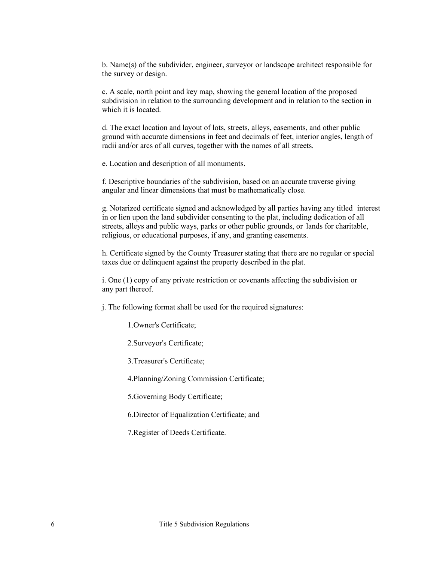b. Name(s) of the subdivider, engineer, surveyor or landscape architect responsible for the survey or design.

c. A scale, north point and key map, showing the general location of the proposed subdivision in relation to the surrounding development and in relation to the section in which it is located.

d. The exact location and layout of lots, streets, alleys, easements, and other public ground with accurate dimensions in feet and decimals of feet, interior angles, length of radii and/or arcs of all curves, together with the names of all streets.

e. Location and description of all monuments.

f. Descriptive boundaries of the subdivision, based on an accurate traverse giving angular and linear dimensions that must be mathematically close.

g. Notarized certificate signed and acknowledged by all parties having any titled interest in or lien upon the land subdivider consenting to the plat, including dedication of all streets, alleys and public ways, parks or other public grounds, or lands for charitable, religious, or educational purposes, if any, and granting easements.

h. Certificate signed by the County Treasurer stating that there are no regular or special taxes due or delinquent against the property described in the plat.

i. One (1) copy of any private restriction or covenants affecting the subdivision or any part thereof.

j. The following format shall be used for the required signatures:

1.Owner's Certificate;

2.Surveyor's Certificate;

3.Treasurer's Certificate;

4.Planning/Zoning Commission Certificate;

5.Governing Body Certificate;

6.Director of Equalization Certificate; and

7.Register of Deeds Certificate.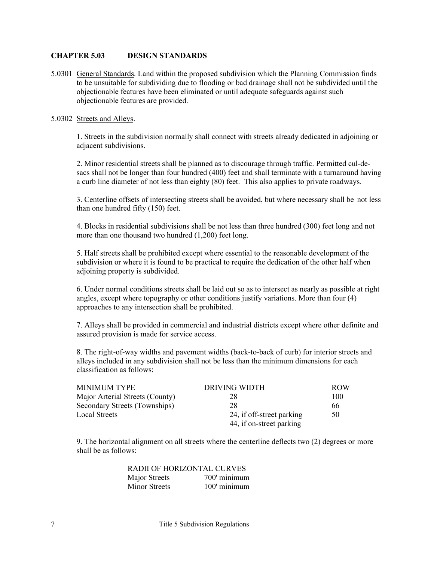#### <span id="page-6-0"></span>**CHAPTER 5.03 DESIGN STANDARDS**

5.0301 General Standards. Land within the proposed subdivision which the Planning Commission finds to be unsuitable for subdividing due to flooding or bad drainage shall not be subdivided until the objectionable features have been eliminated or until adequate safeguards against such objectionable features are provided.

#### 5.0302 Streets and Alleys.

1. Streets in the subdivision normally shall connect with streets already dedicated in adjoining or adjacent subdivisions.

2. Minor residential streets shall be planned as to discourage through traffic. Permitted cul-desacs shall not be longer than four hundred (400) feet and shall terminate with a turnaround having a curb line diameter of not less than eighty (80) feet. This also applies to private roadways.

3. Centerline offsets of intersecting streets shall be avoided, but where necessary shall be not less than one hundred fifty (150) feet.

4. Blocks in residential subdivisions shall be not less than three hundred (300) feet long and not more than one thousand two hundred (1,200) feet long.

5. Half streets shall be prohibited except where essential to the reasonable development of the subdivision or where it is found to be practical to require the dedication of the other half when adjoining property is subdivided.

6. Under normal conditions streets shall be laid out so as to intersect as nearly as possible at right angles, except where topography or other conditions justify variations. More than four (4) approaches to any intersection shall be prohibited.

7. Alleys shall be provided in commercial and industrial districts except where other definite and assured provision is made for service access.

8. The right-of-way widths and pavement widths (back-to-back of curb) for interior streets and alleys included in any subdivision shall not be less than the minimum dimensions for each classification as follows:

| MINIMUM TYPE                    | DRIVING WIDTH             | <b>ROW</b> |
|---------------------------------|---------------------------|------------|
| Major Arterial Streets (County) | 28                        | 100        |
| Secondary Streets (Townships)   | 28                        | 66         |
| Local Streets                   | 24, if off-street parking | 50         |
|                                 | 44, if on-street parking  |            |

9. The horizontal alignment on all streets where the centerline deflects two (2) degrees or more shall be as follows:

| RADII OF HORIZONTAL CURVES |
|----------------------------|
| 700' minimum               |
| $100'$ minimum             |
|                            |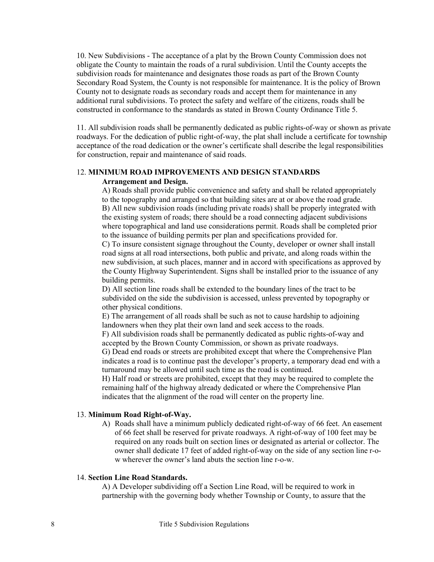10. New Subdivisions - The acceptance of a plat by the Brown County Commission does not obligate the County to maintain the roads of a rural subdivision. Until the County accepts the subdivision roads for maintenance and designates those roads as part of the Brown County Secondary Road System, the County is not responsible for maintenance. It is the policy of Brown County not to designate roads as secondary roads and accept them for maintenance in any additional rural subdivisions. To protect the safety and welfare of the citizens, roads shall be constructed in conformance to the standards as stated in Brown County Ordinance Title 5.

11. All subdivision roads shall be permanently dedicated as public rights-of-way or shown as private roadways. For the dedication of public right-of-way, the plat shall include a certificate for township acceptance of the road dedication or the owner's certificate shall describe the legal responsibilities for construction, repair and maintenance of said roads.

## 12. **MINIMUM ROAD IMPROVEMENTS AND DESIGN STANDARDS Arrangement and Design.**

A) Roads shall provide public convenience and safety and shall be related appropriately to the topography and arranged so that building sites are at or above the road grade. B) All new subdivision roads (including private roads) shall be properly integrated with the existing system of roads; there should be a road connecting adjacent subdivisions where topographical and land use considerations permit. Roads shall be completed prior to the issuance of building permits per plan and specifications provided for.

C) To insure consistent signage throughout the County, developer or owner shall install road signs at all road intersections, both public and private, and along roads within the new subdivision, at such places, manner and in accord with specifications as approved by the County Highway Superintendent. Signs shall be installed prior to the issuance of any building permits.

D) All section line roads shall be extended to the boundary lines of the tract to be subdivided on the side the subdivision is accessed, unless prevented by topography or other physical conditions.

E) The arrangement of all roads shall be such as not to cause hardship to adjoining landowners when they plat their own land and seek access to the roads.

F) All subdivision roads shall be permanently dedicated as public rights-of-way and accepted by the Brown County Commission, or shown as private roadways.

G) Dead end roads or streets are prohibited except that where the Comprehensive Plan indicates a road is to continue past the developer's property, a temporary dead end with a turnaround may be allowed until such time as the road is continued.

H) Half road or streets are prohibited, except that they may be required to complete the remaining half of the highway already dedicated or where the Comprehensive Plan indicates that the alignment of the road will center on the property line.

## 13. **Minimum Road Right-of-Way.**

A) Roads shall have a minimum publicly dedicated right-of-way of 66 feet. An easement of 66 feet shall be reserved for private roadways. A right-of-way of 100 feet may be required on any roads built on section lines or designated as arterial or collector. The owner shall dedicate 17 feet of added right-of-way on the side of any section line r-ow wherever the owner's land abuts the section line r-o-w.

#### 14. **Section Line Road Standards.**

A) A Developer subdividing off a Section Line Road, will be required to work in partnership with the governing body whether Township or County, to assure that the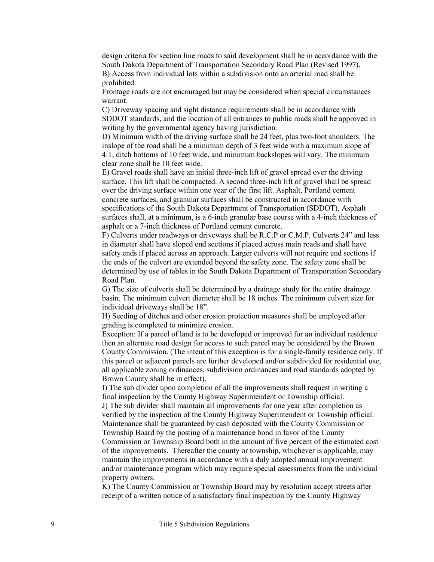design criteria for section line roads to said development shall be in accordance with the South Dakota Department of Transportation Secondary Road Plan (Revised 1997). B) Access from individual lots within a subdivision onto an arterial road shall be

prohibited.

Frontage roads are not encouraged but may be considered when special circumstances warrant.

C) Driveway spacing and sight distance requirements shall be in accordance with SDDOT standards, and the location of all entrances to public roads shall be approved in writing by the governmental agency having jurisdiction.

D) Minimum width of the driving surface shall be 24 feet, plus two-foot shoulders. The inslope of the road shall be a minimum depth of 3 feet wide with a maximum slope of 4:1, ditch bottoms of 10 feet wide, and minimum backslopes will vary. The minimum clear zone shall be 10 feet wide.

E) Gravel roads shall have an initial three-inch lift of gravel spread over the driving surface. This lift shall be compacted. A second three-inch lift of gravel shall be spread over the driving surface within one year of the first lift. Asphalt, Portland cement concrete surfaces, and granular surfaces shall be constructed in accordance with specifications of the South Dakota Department of Transportation (SDDOT). Asphalt surfaces shall, at a minimum, is a 6-inch granular base course with a 4-inch thickness of asphalt or a 7-inch thickness of Portland cement concrete.

F) Culverts under roadways or driveways shall be R.C.P or C.M.P. Culverts 24" and less in diameter shall have sloped end sections if placed across main roads and shall have safety ends if placed across an approach. Larger culverts will not require end sections if the ends of the culvert are extended beyond the safety zone. The safety zone shall be determined by use of tables in the South Dakota Department of Transportation Secondary Road Plan.

G) The size of culverts shall be determined by a drainage study for the entire drainage basin. The minimum culvert diameter shall be 18 inches. The minimum culvert size for individual driveways shall be 18".

H) Seeding of ditches and other erosion protection measures shall be employed after grading is completed to minimize erosion.

Exception: If a parcel of land is to be developed or improved for an individual residence then an alternate road design for access to such parcel may be considered by the Brown County Commission. (The intent of this exception is for a single-family residence only. If this parcel or adjacent parcels are further developed and/or subdivided for residential use, all applicable zoning ordinances, subdivision ordinances and road standards adopted by Brown County shall be in effect).

I) The sub divider upon completion of all the improvements shall request in writing a final inspection by the County Highway Superintendent or Township official.

J) The sub divider shall maintain all improvements for one year after completion as verified by the inspection of the County Highway Superintendent or Township official. Maintenance shall be guaranteed by cash deposited with the County Commission or

Township Board by the posting of a maintenance bond in favor of the County Commission or Township Board both in the amount of five percent of the estimated cost of the improvements. Thereafter the county or township, whichever is applicable, may maintain the improvements in accordance with a duly adopted annual improvement and/or maintenance program which may require special assessments from the individual property owners.

K) The County Commission or Township Board may by resolution accept streets after receipt of a written notice of a satisfactory final inspection by the County Highway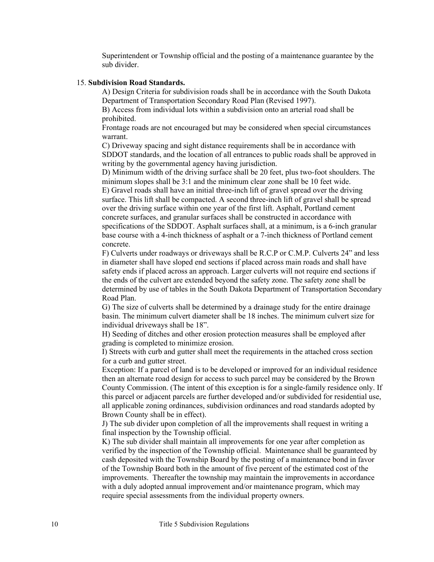Superintendent or Township official and the posting of a maintenance guarantee by the sub divider.

#### 15. **Subdivision Road Standards.**

A) Design Criteria for subdivision roads shall be in accordance with the South Dakota Department of Transportation Secondary Road Plan (Revised 1997).

B) Access from individual lots within a subdivision onto an arterial road shall be prohibited.

Frontage roads are not encouraged but may be considered when special circumstances warrant.

C) Driveway spacing and sight distance requirements shall be in accordance with SDDOT standards, and the location of all entrances to public roads shall be approved in writing by the governmental agency having jurisdiction.

D) Minimum width of the driving surface shall be 20 feet, plus two-foot shoulders. The minimum slopes shall be 3:1 and the minimum clear zone shall be 10 feet wide.

E) Gravel roads shall have an initial three-inch lift of gravel spread over the driving surface. This lift shall be compacted. A second three-inch lift of gravel shall be spread over the driving surface within one year of the first lift. Asphalt, Portland cement concrete surfaces, and granular surfaces shall be constructed in accordance with specifications of the SDDOT. Asphalt surfaces shall, at a minimum, is a 6-inch granular base course with a 4-inch thickness of asphalt or a 7-inch thickness of Portland cement concrete.

F) Culverts under roadways or driveways shall be R.C.P or C.M.P. Culverts 24" and less in diameter shall have sloped end sections if placed across main roads and shall have safety ends if placed across an approach. Larger culverts will not require end sections if the ends of the culvert are extended beyond the safety zone. The safety zone shall be determined by use of tables in the South Dakota Department of Transportation Secondary Road Plan.

G) The size of culverts shall be determined by a drainage study for the entire drainage basin. The minimum culvert diameter shall be 18 inches. The minimum culvert size for individual driveways shall be 18".

H) Seeding of ditches and other erosion protection measures shall be employed after grading is completed to minimize erosion.

I) Streets with curb and gutter shall meet the requirements in the attached cross section for a curb and gutter street.

Exception: If a parcel of land is to be developed or improved for an individual residence then an alternate road design for access to such parcel may be considered by the Brown County Commission. (The intent of this exception is for a single-family residence only. If this parcel or adjacent parcels are further developed and/or subdivided for residential use, all applicable zoning ordinances, subdivision ordinances and road standards adopted by Brown County shall be in effect).

J) The sub divider upon completion of all the improvements shall request in writing a final inspection by the Township official.

K) The sub divider shall maintain all improvements for one year after completion as verified by the inspection of the Township official. Maintenance shall be guaranteed by cash deposited with the Township Board by the posting of a maintenance bond in favor of the Township Board both in the amount of five percent of the estimated cost of the improvements. Thereafter the township may maintain the improvements in accordance with a duly adopted annual improvement and/or maintenance program, which may require special assessments from the individual property owners.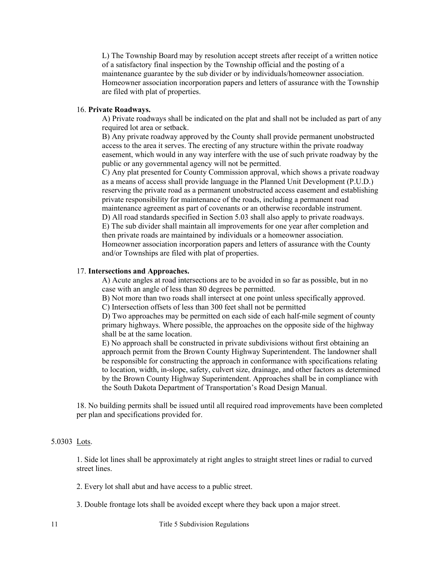L) The Township Board may by resolution accept streets after receipt of a written notice of a satisfactory final inspection by the Township official and the posting of a maintenance guarantee by the sub divider or by individuals/homeowner association. Homeowner association incorporation papers and letters of assurance with the Township are filed with plat of properties.

#### 16. **Private Roadways.**

A) Private roadways shall be indicated on the plat and shall not be included as part of any required lot area or setback.

B) Any private roadway approved by the County shall provide permanent unobstructed access to the area it serves. The erecting of any structure within the private roadway easement, which would in any way interfere with the use of such private roadway by the public or any governmental agency will not be permitted.

C) Any plat presented for County Commission approval, which shows a private roadway as a means of access shall provide language in the Planned Unit Development (P.U.D.) reserving the private road as a permanent unobstructed access easement and establishing private responsibility for maintenance of the roads, including a permanent road maintenance agreement as part of covenants or an otherwise recordable instrument. D) All road standards specified in Section 5.03 shall also apply to private roadways. E) The sub divider shall maintain all improvements for one year after completion and then private roads are maintained by individuals or a homeowner association. Homeowner association incorporation papers and letters of assurance with the County

and/or Townships are filed with plat of properties.

#### 17. **Intersections and Approaches.**

A) Acute angles at road intersections are to be avoided in so far as possible, but in no case with an angle of less than 80 degrees be permitted.

B) Not more than two roads shall intersect at one point unless specifically approved.

C) Intersection offsets of less than 300 feet shall not be permitted

D) Two approaches may be permitted on each side of each half-mile segment of county primary highways. Where possible, the approaches on the opposite side of the highway shall be at the same location.

E) No approach shall be constructed in private subdivisions without first obtaining an approach permit from the Brown County Highway Superintendent. The landowner shall be responsible for constructing the approach in conformance with specifications relating to location, width, in-slope, safety, culvert size, drainage, and other factors as determined by the Brown County Highway Superintendent. Approaches shall be in compliance with the South Dakota Department of Transportation's Road Design Manual.

18. No building permits shall be issued until all required road improvements have been completed per plan and specifications provided for.

#### 5.0303 Lots.

1. Side lot lines shall be approximately at right angles to straight street lines or radial to curved street lines.

2. Every lot shall abut and have access to a public street.

3. Double frontage lots shall be avoided except where they back upon a major street.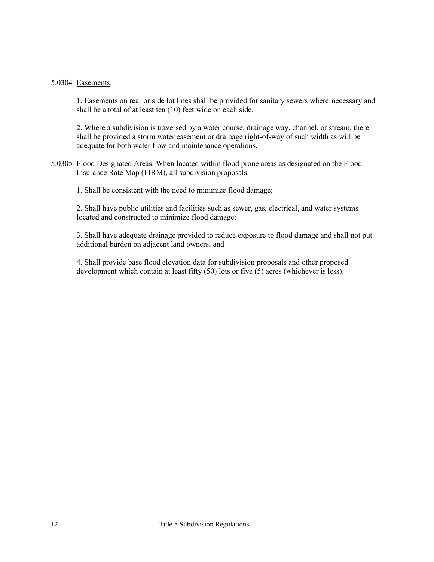#### 5.0304 Easements.

1. Easements on rear or side lot lines shall be provided for sanitary sewers where necessary and shall be a total of at least ten (10) feet wide on each side.

2. Where a subdivision is traversed by a water course, drainage way, channel, or stream, there shall be provided a storm water easement or drainage right-of-way of such width as will be adequate for both water flow and maintenance operations.

5.0305 Flood Designated Areas. When located within flood prone areas as designated on the Flood Insurance Rate Map (FIRM), all subdivision proposals:

1. Shall be consistent with the need to minimize flood damage;

2. Shall have public utilities and facilities such as sewer, gas, electrical, and water systems located and constructed to minimize flood damage;

3. Shall have adequate drainage provided to reduce exposure to flood damage and shall not put additional burden on adjacent land owners; and

4. Shall provide base flood elevation data for subdivision proposals and other proposed development which contain at least fifty (50) lots or five (5) acres (whichever is less).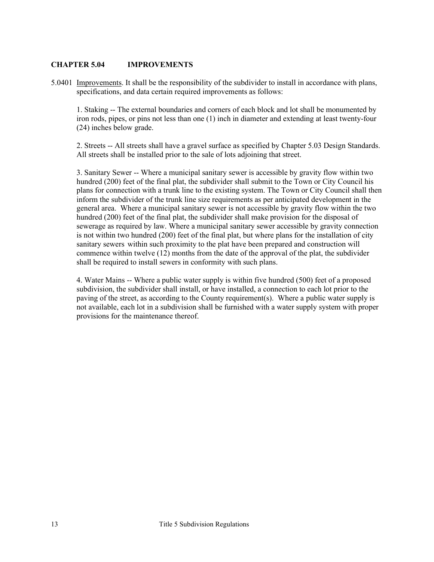## <span id="page-12-0"></span>**CHAPTER 5.04 IMPROVEMENTS**

5.0401 Improvements. It shall be the responsibility of the subdivider to install in accordance with plans, specifications, and data certain required improvements as follows:

1. Staking -- The external boundaries and corners of each block and lot shall be monumented by iron rods, pipes, or pins not less than one (1) inch in diameter and extending at least twenty-four (24) inches below grade.

2. Streets -- All streets shall have a gravel surface as specified by Chapter 5.03 Design Standards. All streets shall be installed prior to the sale of lots adjoining that street.

3. Sanitary Sewer -- Where a municipal sanitary sewer is accessible by gravity flow within two hundred (200) feet of the final plat, the subdivider shall submit to the Town or City Council his plans for connection with a trunk line to the existing system. The Town or City Council shall then inform the subdivider of the trunk line size requirements as per anticipated development in the general area. Where a municipal sanitary sewer is not accessible by gravity flow within the two hundred (200) feet of the final plat, the subdivider shall make provision for the disposal of sewerage as required by law. Where a municipal sanitary sewer accessible by gravity connection is not within two hundred (200) feet of the final plat, but where plans for the installation of city sanitary sewers within such proximity to the plat have been prepared and construction will commence within twelve (12) months from the date of the approval of the plat, the subdivider shall be required to install sewers in conformity with such plans.

4. Water Mains -- Where a public water supply is within five hundred (500) feet of a proposed subdivision, the subdivider shall install, or have installed, a connection to each lot prior to the paving of the street, as according to the County requirement(s). Where a public water supply is not available, each lot in a subdivision shall be furnished with a water supply system with proper provisions for the maintenance thereof.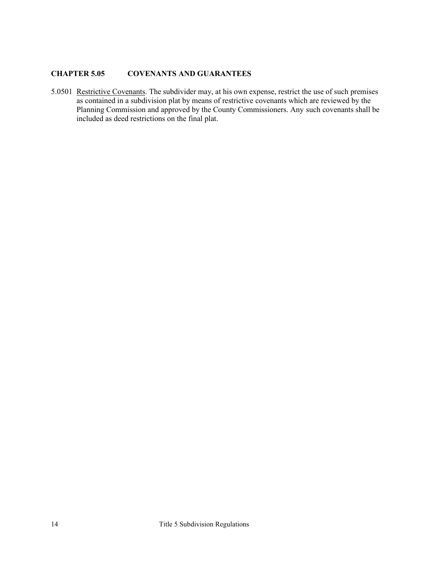## <span id="page-13-0"></span>**CHAPTER 5.05 COVENANTS AND GUARANTEES**

5.0501 Restrictive Covenants. The subdivider may, at his own expense, restrict the use of such premises as contained in a subdivision plat by means of restrictive covenants which are reviewed by the Planning Commission and approved by the County Commissioners. Any such covenants shall be included as deed restrictions on the final plat.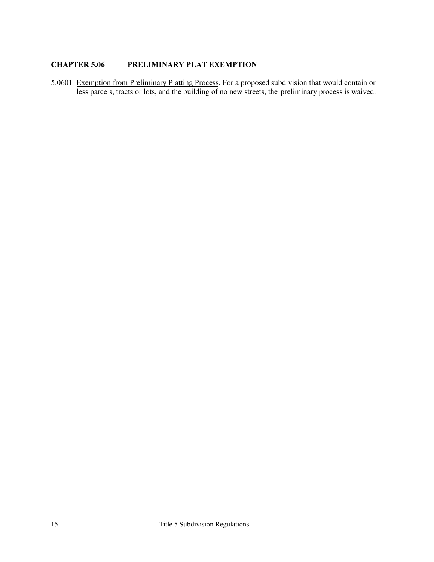# <span id="page-14-0"></span>**CHAPTER 5.06 PRELIMINARY PLAT EXEMPTION**

5.0601 Exemption from Preliminary Platting Process. For a proposed subdivision that would contain or less parcels, tracts or lots, and the building of no new streets, the preliminary process is waived.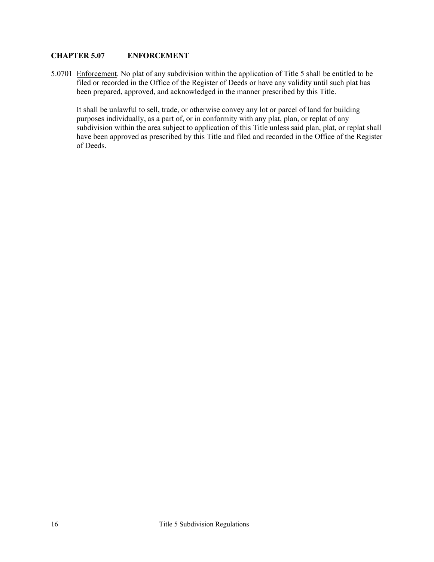## <span id="page-15-0"></span>**CHAPTER 5.07 ENFORCEMENT**

5.0701 Enforcement. No plat of any subdivision within the application of Title 5 shall be entitled to be filed or recorded in the Office of the Register of Deeds or have any validity until such plat has been prepared, approved, and acknowledged in the manner prescribed by this Title.

It shall be unlawful to sell, trade, or otherwise convey any lot or parcel of land for building purposes individually, as a part of, or in conformity with any plat, plan, or replat of any subdivision within the area subject to application of this Title unless said plan, plat, or replat shall have been approved as prescribed by this Title and filed and recorded in the Office of the Register of Deeds.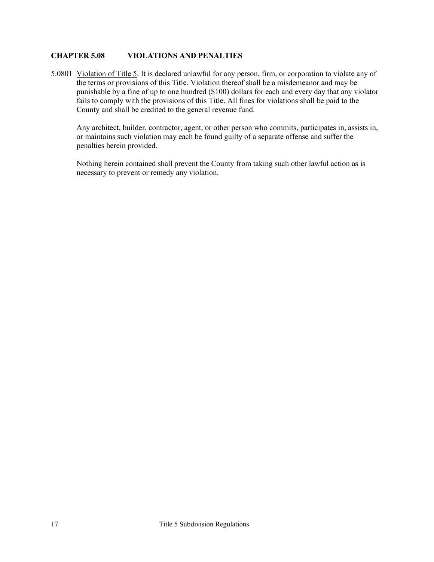## <span id="page-16-0"></span>**CHAPTER 5.08 VIOLATIONS AND PENALTIES**

5.0801 Violation of Title 5. It is declared unlawful for any person, firm, or corporation to violate any of the terms or provisions of this Title. Violation thereof shall be a misdemeanor and may be punishable by a fine of up to one hundred (\$100) dollars for each and every day that any violator fails to comply with the provisions of this Title. All fines for violations shall be paid to the County and shall be credited to the general revenue fund.

Any architect, builder, contractor, agent, or other person who commits, participates in, assists in, or maintains such violation may each be found guilty of a separate offense and suffer the penalties herein provided.

Nothing herein contained shall prevent the County from taking such other lawful action as is necessary to prevent or remedy any violation.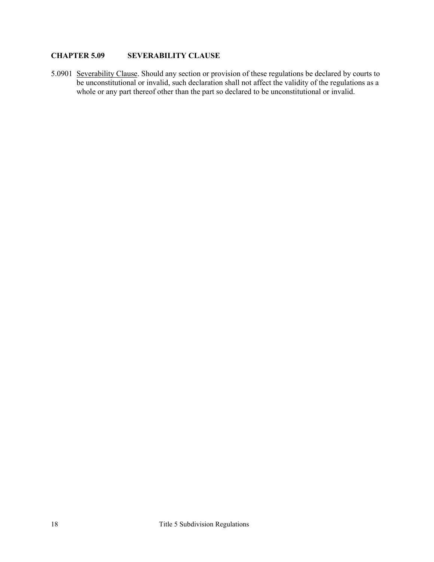## <span id="page-17-0"></span>**CHAPTER 5.09 SEVERABILITY CLAUSE**

5.0901 Severability Clause. Should any section or provision of these regulations be declared by courts to be unconstitutional or invalid, such declaration shall not affect the validity of the regulations as a whole or any part thereof other than the part so declared to be unconstitutional or invalid.